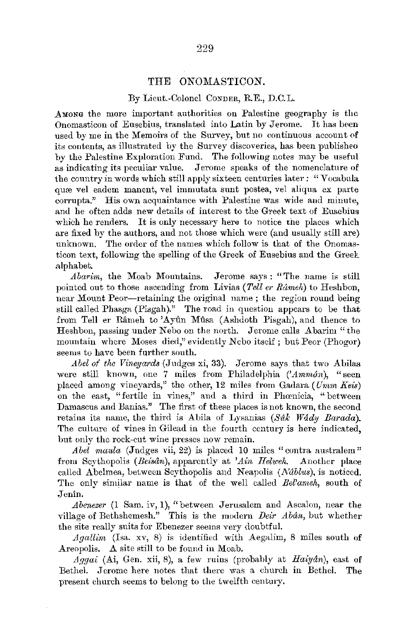## THE ONOMASTICON.

## By Lieut.-Colonel CONDER, R.E., D.C.L.

AMONG the more important authorities on Palestine geography is the Onomasticon of Eusebius, translated into Latin by Jerome. It has been used by me in the Memoirs of the Survey, but no continuous account of its contents, as illustrated by the Survey discoveries, has been publisheo by the Palestine Exploration Fund. The following notes may be useful as indicating its peculiar value. Jerome speaks of the nomenclature of the country in words which still apply sixteen centuries later: "Vocabnla qure vel eadem manent, vel immutata sunt postea, vel aliqua ex parte corrupta." His own acquaintance with Palestine was wide and minute, and he often adds new details of interest to the Greek text of Eusebius which he renders. It is only necessary here to notice the places which are fixed by the authors, and not those which were (and usually still are) unknown. The order of the names which follow is that of the Onomasticon text, following the spelling of the Greek of Eusebius and the Greek alphabet.

*Abarim,* the Moab Mountains. Jerome says *:* "The name is still pointed out to those ascending from Livias *(Tell er Râmeh)* to Heshbon. near Mount Peor-retaining the original name; the region round being still called Phasga (Pisgah)." The road iu question appears to be that from Tell er Râmeh to 'Ayûn Mûsa (Ashdoth Pisgah), and thence to Heshbon, passing under Nebo on the north. Jerome calls Abarim "the mountain where Moses died," evidently Nebo itself; but Peor (Phogor) seems to have been further south.

Abel of the Vineyards (Judges xi, 33). Jerome says that two Abilas were still known, one 7 miles from Philadelphia *('Ammân*), "seen placed among vineyards," the other, 12 miles from Gadara (Umm Keis) on the east, "fertile in vines," and a third in Phomicia, "between Damascus and Banias." The first of these places is not known, the second retains its name, the third is Abila of Lysanias (Sak Wady Barada). The culture of vines in Gilead in the fourth century is here indicated, but only the rock-cut wine presses now remain.

*Abel maula* (Judges vii, 22) is placed 10 miles "contra australem" from Scythopolis *(Beisân)*, apparently at 'Ain Helweh. Another place called Abelmea, between Scythopolis and Neapolis *(Nublus),* is noticed. The only similar name is that of the well called *Bel'anwh,* south of Jenin.

*Abenezer* (l Sam. iv, 1), "between Jerusalem and Ascalon, near the village of Bethshemesh." This is the modern *Deir Abdn,* but whether the site really suits for Ebenezer seems very doubtful.

*Agallim* (Isa. xv, 8) is identified with Aegalim, 8 miles south of Areopolis. A site still to be found in Moab.

*A\_q,qai* (Ai, Gen. xii, 8), a few ruins (probably at *Haiydn),* east of Bethel. Jerome here notes that there was a church in Bethel. The present church seems to belong to the twelfth century.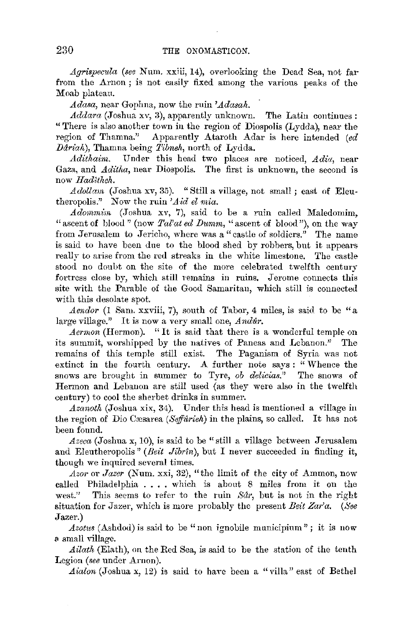*Agrispecula (see Num. xxiii, 14), overlooking the Dead Sea, not far* from the Arnon; is not easily fixed among the various peaks of the Moab plateau.

Adasa, near Gophna, now the ruin *'Adasah*.

*.Addara* (Joshua xv, 3), apparently unknown. The Latin continues: "There is also another *town* in the region of Diospolis (Lydda), near the Apparently Ataroth Adar is here intended (ed *Dáriah*), Thamna being *Tibneh*, north of Lydda.

*.Adithairn.* Under this head two places are noticed, *.Adia,* near Gaza, and *Aditha*, near Diospolis. The first is unknown, the second is now *Haditheh*.

*.Adollain* (Joshua xv, 35). "Still a village, not small; easi of Eleutheropolis." Now the ruin 'Aid el mia.

Adommin (Joshua xv, 7), said to be a ruin called Maledomim, "ascent of blood" (now *Tal'at ed Dumm*, "ascent of blood"), on the way from Jerusalem to Jericho, where was a" castle of soldiers." The name is said to have been due to the blood shed by robbers, but it appears really to arise from the red streaks in the white limestone. The castle stood no doubt on the site of the more celebrated twelfth century fortress close by, which still remains in ruins. Jerome connects this site with the Parable of the Good Samaritan, which still is connected with this desolate spot.

*Aendor* (1 Sam. xxviii, 7), south of Tabor, 4 miles, is said to be "a large village." It is now a very small one, *Andur*.

*Aermon* (Hermon). "It is said that there is a wonderful temple on its summit, worshipped by the natives of Paneas and Lebanon." The remains of this temple still exist. The Paganism of Syria was not extinct in the fourth century. A. further note says : " Whence the snows are brought in summer to Tyre, *ob delicias."* The snows of Hermon and Lebanon are still used (as they were also in the twelfth century) to cool the sherbet drinks in summer .

*.Azanoth* (Joshua xix, 34). Under this head is mentioned **a** village **iu**  the region of Dio Cæsarea *(Seffurieh)* in the plains, so called. It has not been found.

*.Azeca* (Joshua x, 10), is said to be" still a village between Jerusalem and Eleutheropolis" *(Beit Jibrîn)*, but I never succeeded in finding it, though we inquired several times.

*.Azor* or *Jazer* (Num. xxi, 32), "the limit of the city of Ammon, now called Philadelphia  $\dots$ , which is about 8 miles from it on the west." This seems to refer to the ruin  $Sdr$ , but is not in the right This seems to refer to the ruin *Sar*, but is not in the right situation for Jazer, which is more probably the present *Beit Zar'a.* (See Jazer.)

*Azotus* (Ashdod) is said to be "non ignobile municipium"; it is now a small village.

*.Ailath* (Elath), on the Red Sea, is said to be the station of the tenth Legion *(see* under Arnon).

*Aialon* (Joshua x, 12) is said to have been a "villa" east of Bethel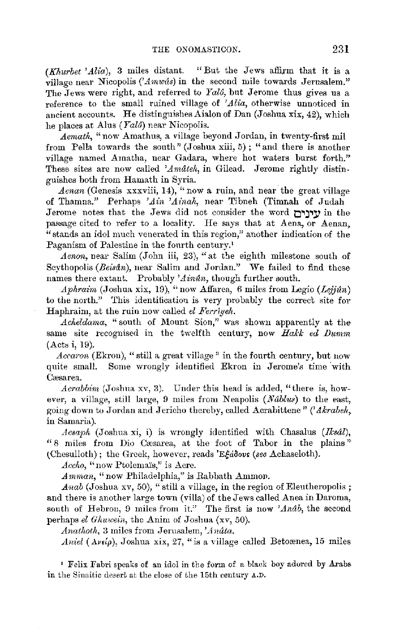(Khurbet 'Alia), 3 miles distant. "But the Jews affirm that it is a village near Nicopolis *('Amwtis)* in the second mile towards Jerusalem." The Jews were right, and referred to *Yalo,* but Jerome thus gives us a reference to the small ruined village of *'Alia,* otherwise unnoticed in ancient accounts. He distinguishes Aialon of Dan (Joshua xix, 42), which he places at Alus (*Yalô*) near Nicopolis.

*Aemath*, "now Amathus, a village beyond Jordan, in twenty-first mil from Pella towards the south" (Joshua xiii, 5); "and there is another village named Amatha, near Gadara, where hot waters burst forth." These sites are now called 'Amateh, in Gilead. Jerome rightly distinguishes both from Hamath in Syria.

Aenan (Genesis xxxviii, 14), "now a ruin, and near the great village of Thamna." Perhaps 'Ain 'Ainah, near Tibneh (Timnah of Judah Jerome notes that the Jews did not consider the word **t:)"l\_j"lj}** in the passage cited to refer to a locality. He says that at Aena, or Aenan, "stands an idol much venerated in this region," another indication of the Paganism of Palestine in the fourth century.<sup>1</sup>

Aenon, near Salim (John iii, 23), "at the eighth milestone south of Scythopolis (Beisân), near Salim and Jordan." We failed to find these names there extant. Probably 'Ainun, though further south.

*Aphraim (Joshua xix, 19),* "now Affarea, 6 miles from Legio *(Lejiún)* to the north." This identification is very probably the correct site for Haphraim, at the ruin now called *el Ferriyeh*.

Acheldama, "south of Mount Sion," was shown apparently at the same site recognised in the twelfth century, now *Hakk ed Dumm* (Acts i, 19).

Accaron (Ekron), "still a great village" in the fourth century, but now quite small. Some wrongly identified Ekron in Jerome's time with Cæsarea.

*Acrabbim* (Joshua xv, 3). Under this head is added, "there is, however, a village, still large, 9 miles from *N* eapolis *(Ndblus)* to the east, going down to Jordan and Jericho thereby, called Acrabittene" (' *Akrabeh,*  in Samaria).

*Acsaph.* (Joshua xi, i) is wrongly identified with Chasalus *(Iksdl),*  "8 miles from Dio Cæsarea, at the foot of Tabor in the plains" ~Chesulloth); the Greek, however, reads *'E~a8ovt (see* Achaseloth).

Accho, "now Ptolemais," is Acre.

*Amman*, "now Philadelphia," is Rabbath Ammon.

*.A.nab* (Joshua xv, 50), "still a village, in the region of Eleutheropolis ; and there is another large town (villa) of the Jews called Anea in Daroma, south of Hebron, 9 miles from it." The first is now 'Anab, the second perhaps *el Ghuwein*, the Anim of Joshua (xv, 50).

*Anathoth*, 3 miles from *Jerusalem*, *'Anâta*.

*Aniel (* $A\nu \epsilon(\rho)$ *, Joshua xix, 27,* "is a village called Betoxenea, 15 miles

1 Felix Fabri speaks of an idol in the form of a black boy adured by Arabs in the Sinaitic desert at the close of the 15th century A.D.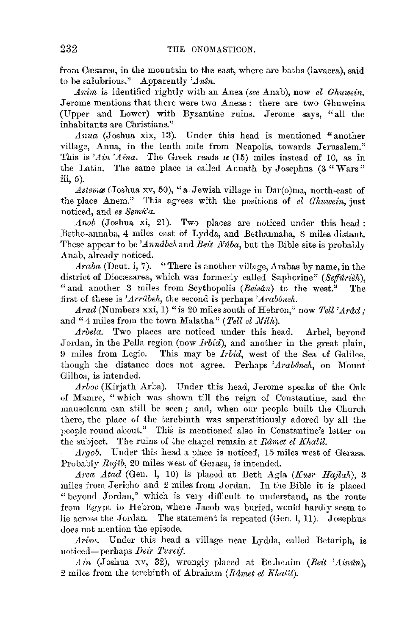from Cæsarea, in the mountain to the east, where are baths (lavacra), said to be salubrious." Apparently *'Antn.* 

*Anim* is identified rightly with an Anea *(see Anab)*, now *el Ghuwein*. .Jerome mentions that there were two Aneas: there are two Ghuweins (Upper and Lower) with Byzantine ruins. Jerome says, "all the inhabitants are Christians."

Anua (Joshua xix, 13). Under this head is mentioned "another village, Anua, in the tenth mile from *Neapolis*, towards Jerusalem." This is  $'Ain'Aina$ . The Greek reads  $\kappa$  (15) miles instead of 10, as in the Latin. The same place is called Anuath by Josephus  $(3 "Wars")$ iii, 5).

*Astema* (Joshua xv, 50), "a Jewish village in Dar(o)ma, north-east of the place Anera." This agrees with the positions of *el Gliuwein,* just noticed, and *es 8em1i'a.* 

*Anob* (Joshua xi, 21). Two places are noticed under this head: Betho-annaba, 4 miles east of Lydda, and Bethannaba, 8 miles distant. These appear to be *Annabeh* and *Beit Naba*, but the Bible site is probably Anab, already noticed.

Araba (Deut. i, 7). "There is another village, Arabas by name, in the district of Diocasarea, which was formerly called Saphorine" (Seffurieh), "and another 3 miles from Scythopolis *(Beisun)* to the west." The first of these is 'Arrabeh, the second is perhaps 'Araboneh.

*Arad* (Numbers xxi, 1) "is *20* miles south of Hebron," now *Tell 'Ardd;*  and "4 miles from the town Malatha" (*Tell el Milh*).

*Arbela.* Two places are noticed under this head. Arbel, beyond Jordan, in the Pella region (now *Irbid*), and another in the great plain, 9 miles from Legio. This may be *lrbid,* west of the Sea uf Galilee, though the distance does not agree. Perhaps *'Arabôneh*, on Mount Gilboa, is intended.

*Arboc* (Kirjath Arba). Under this head, Jerome speaks of the Oak of Mamre, "which was shown till the reign of Constantine, and the mausoleum can still be seen; and, when our people built the Church there, the place of the terebinth was superstitiously adored by all the people round about." This is mentioned also in Constantine's letter on the subject. The ruins of the chapel remain at *Râmet el Khalil*.

*.Argob.* Under this head a place is noticed, 15 miles west of Gerasa. Probably *Rujib, 20* miles west of Gcrasa, is intended.

*Area Atad (Gen. 1, 10)* is placed at Beth Agla *(Kusr Hajlah)*, 3 miles from Jericho &nd 2 miles from Jordan. In the Bible it is placed "beyond Jordan," which is very difficult to understand, as the route from Egypt to Hebron, where Jacob was buried, would hardly seem to lie across the Jordan. The statement is repeated (Gen. 1, 11). Josephus does not mention the episode.

*Arfau.* Under this head a village near Lydda, called Betariph, is noticed-perhaps *Deii· Tureij.* 

Ain (Joshua xv, 32), wrongly placed at Bethenim (Beit 'Ainún), 2 miles from the terebinth of Abraham *(Ramet el Khal'il)*.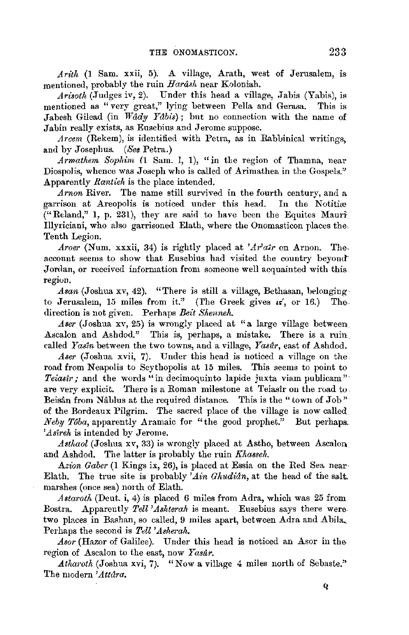*Arith* (1 Sam. xxii, 5). A village, Arath, west of Jerusalem, is mentioned, probably the ruin *Harash* near Koloniah.

*Arisoth* (Judges iv, 2). Under this head a village, Jabis (Yabis), is mentioned as " very great," lying between Pella and Gerasa. This is Jabesh Gilead (in Wady *Ydbis);* but no connection with the name of Jabin really exists, as Eusebius and Jerome suppose.

*Arcem* (Rekem), is identified with Petra, as in Rabbinical writings, and by Josephus. *(Ses* Petra.)

*Armathem Sophim (I* Sam. l, I), "in tlie region of Thamna, near Diospolis, whence was Joseph who is called of Arimathea in the Gospels." Apparently *Rantieh* is the place intended.

*Arnon* River. The name still survived in the fonrth century, and a garrison at Areopolis is noticed under this head. In the Notitiæ (" Reland," 1, p. 231), they are said to have been the Equites Mauri Illyriciani, who also garrisoned Elath, where the Onomasticon places the, Tenth Legion.

*Aroer* (Num. xxxii, 34) is rightly placed at *'Ai·'atr* on Arnon. The. account seems to show that Eusebius had visited the country beyond· Jordan, or received information from someone well acquainted with this region.

Asan (Joshua xv, 42). "There is still a village, Bethasan, belongingto Jerusalem, 15 miles from it." (The Greek gives  $\kappa'$ , or 16.) The. direction is not given. Perhaps *Beit Shenneh.* 

*Aser* (Joshua xv, 25) is wrongly placed at "a large village between Ascalon and Ashdod." This is, perhaps, a mistake. There is a ruin called *Yastn* between the two towns, and a village, *Yasdr,* east of Ashdod.

Aser (Joshua xvii, 7). Under this head is noticed a village on the road from Neapolis to Scythopolis at 15 miles. This seems to point to *Teiastr;* and the words "in decimoquinto lapide juxta viam publicam" are very explicit. There is a Roman milestone at Teiasir on the road to. Beisân from Nâblus at the required distance. This is the "town of Job" of the Bordeaux Pilgrim. The sacred place of the village is now called *Neby T6ba*, apparently Aramaic for "the good prophet." But perhaps. *'Asireh* is intended by Jerome.

Asthaol (Joshua *xv*, 33) is wrongly placed at Astho, between Ascalon and Ashdod. The latter is probably the ruin *Khasseh*.

*.Azion Gaber* (1 Kings ix, 26), is placed at Essia on the Red Sea near Elath. The true site is probably *'Ain Ghudian*, at the head of the salt. marshes (once sea) north of Elath.

*Astaroth* (Deut. i, 4) is placed 6 miles from Adra, which was 25 from Bostra. Apparently *Tell 'Ashtemh* is meant. Eusebius says there were. two places in Bashan, so called, 9 miles apart, between Adra and Abila, Perhaps the second is *Tell 'Asherah.* 

Asor (Hazor of Galilee). Under this head is noticed an Asor in the region of Ascalon to the east, now *Yasdr.* 

*Atharoth* (Joshua xvi, 7). "Now a village 4 miles north of Sebaste." The modern *'Attara.*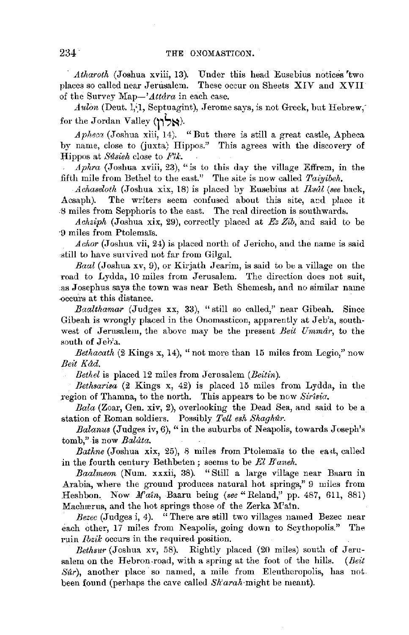*Atharoth* (Joshua xviii, 13). Under this head Eusebius notices 'two places so called near Jerusalem. These occur on Sheets XIV and XVII of the Survey *Map-'Attdra* in each case.

*Aulon* (Deut. 1,<sup>1</sup>, Septuagint), Jerome says, is not Greek, but Hebrew, for the Jordan Valley **(1~ s~** ).

*Apheca* (Joshua xiii, 14). "But there is still a great castle, Apheca by name, close to (juxta) Hippos." This agrees with the discovery of :13:ippos at *Sitsieh* close to *Ji'tk.* 

*Aphra* (Joshua xviii, 23), "is to this day the village Effrem, in the fifth mile from Bethel to the east." The site is *now* called *Taiyibeh.* 

*Achaseloth* (Joshua xix, 18) is placed by Eusebius at *Iksul (see* back, Acsaph). The writers seem confused about this site, and place it -8 miles from Sepphoris to the east. The real direction is southward8.

*Achziph* (Joshua xix, 29), correctly placed at *Ez Zib,* and said to be -9 miles from Ptolema'is.

*A char* (Joshua vii, 24) is placed north of Jericho, and the name is said .atill to have smvived not far from Gilgal.

*Baal* (Joshua xv, 9), or Kirjath Jearim, is said to be a village on the road to Lydda, 10 miles from Jerusalem. The direction does not suit, .as Josephus says the town was near Beth Shemesh, and no similar name occurs at this distance.

*Baalthamar* (Judges xx, 33), "still so called," near Gibeah. Since Gibeah is wrongly placed in the Onomasticon, apparently at Jeb'a, southwest of Jerusalem, the above may be the present *Beit Ummdr,* to the south of Jeb'a.

*Bethacath*  $(2 \text{ Kings } x, 14)$ , "not more than 15 miles from Legio," now *Beit Kdd.* 

*llethel* is placed 12 miles from Jernsalem *(Beitin).* 

*Bethsarisa* (2 Kings x, 42) is placed 15 miles from Lydda, in the region of Thamna, to the north. This appears to be now *Sir1sia.* 

*Bala* (Zoar, Gen. xiv, 2), overlooking the Dead Sea, and said to be a station of Roman soldiers. Possibly *Tell esh Shaghur*.

*Balanus* (Judges iv, 6), "in the suburbs of Neapolis, towards Joseph's tomb," is now *Balata*.

*Bathne* (Joshua xix, 25), 8 miles from Ptolema's to the east, called in the fourth century Bethbeten; seems to be *El B'aneh.* 

*Baalmeon* (Num. xxxii, 38). "Still a large village near Baaru in Arabia, where the grouud produces natural hot springs,'' 9 miles from Heshbon. Now *M'ai11,,* Baaru beiug *(see"* Reland," pp. 487, 611, 881) Machærus, and the hot springs those of the Zerka M'ain.

*Bezec* (Judges i, 4). "There are still two villages named Bezec near each other, 17 miles from Neapolis, going down to Scythopolis." The ruin *Ibzik* occurs in the required- position.

Bethsur (Joshua xv, 58). Rightly placed (20 miles) south of Jerusalern on the Hebron-road, with a spring at the foot of the hills. *(Beit Sur),* another place so named, a mile from Eleutheropolis, has not been found (perhaps the cave called *Sh'arah-might* be meant).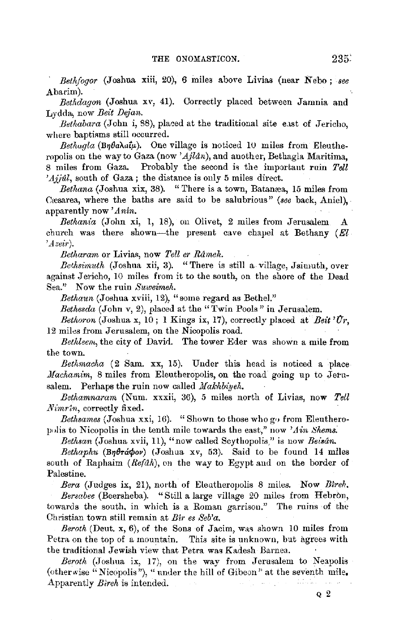*Bethfogor* (Joshua xiii, 20), 6 miles above Livias (near Nebo : see Abarim).

*Bethdagon* (Joshua xv, 41). Correctly placed between Jamnia and Lydda,, now *Beit DeJan.* 

Bethabara (John i, 88), placed at the traditional site east of Jericho, where baptisms still occurred.

 $Betaqla$  (Bn $\theta$ a $\lambda$ aiµ). One village is noticed 10 miles from Eleutheropolis on the way to Gaza (now *'AJlan),* and another, Bethagla Maritima, 8 miles from Gaza. Probably the second is the important ruin Tell *'Ajjul*, south of Gaza; the distance is only 5 miles direct.

Bethana (Joshua xix, 38). "There is a town, Batanæa, 15 miles from Cæsarea, where the baths are said to be salubrious" *(see back, Aniel)*, apparently now *'Anin.* 

*Bethania* (John xi, 1, 18), on Olivet, 2 miles from Jerusalem A church was there shown—the present cave chapel at Bethany  $(El)$ *'Azeir).* 

*Betkaram* or Livias, now *Tell er Rd1nek.* 

*Bethsimuth* (Joshua xii, 3). "There is still a village, Jsimuth, over against.Jericho, 10 miles from it to the south, on the shore of the Dead Sea." Now the ruin *Suweimek.* 

*Betkaun* (Joshua xviii, 12), "some regard as Bethel."

*Bethesda* (John v, 2), placed at the "Twin Fools " in Jerusalem.

*Bethoron* (Joshua x, 10; 1 Kings ix, 17), correctly placed at *Beit*  $\hat{U}_r$ , 12 miles from Jerusalem, on the Nicopolis road.

*Bethleem,* the city of David. The tower Eder was shown a mile from the town.

Bethmacha (2 Sam. xx, 15). Under this head is noticed a place *Machamim*, 8 miles from Eleutheropolis, on the road going up to Jerusalem. Perhaps the ruin now called *Makhbiveh*.

*Betkamnaram* (Num. xxxii, 36), 5 miles north of Livias, now *Tell 1Vimrtn,* correctly fixed.

*Bethsames* (Joshua xxi, 16). "Shown to those who go from Eleutheropolis to Nicopolis in the tenth mile towards the east," now *'Ain Shems*.

*Betksan* (Joshua xvii, 11), "now called Scythopolis," is now *Beisan.* 

Bethaphu (Byerápov) (Joshua xv, 53). Said to be found 14 miles south of Raphaim (Refah), on the way to Egypt and on the border of Palestine.

*Bera* (Judges ix, 21), north of Eleutheropolis 8 miles. Now *Bireh.* 

*Bersabee* (Beersheba). "Still a large village 20 miles from Hebron, towards the south. in which is a Roman garrison." The ruins of the Christian town still remain at *Bir es Seb'a.* 

*Beroth* (Deut. x, 6), of the Sons of Jacim, was shown 10 miles from Petra on the top of a mountain. This site is unknown, but agrees with the traditional Jewish view that Petra was Kadesh Barnea.

*Beroth* (Joshua ix, 17), on the way from Jerusalem to Neapolis (otherwise "Nicopolis "), "under the hill of Gibeon" at the seventh mile, Apparently *B/reh* is intended.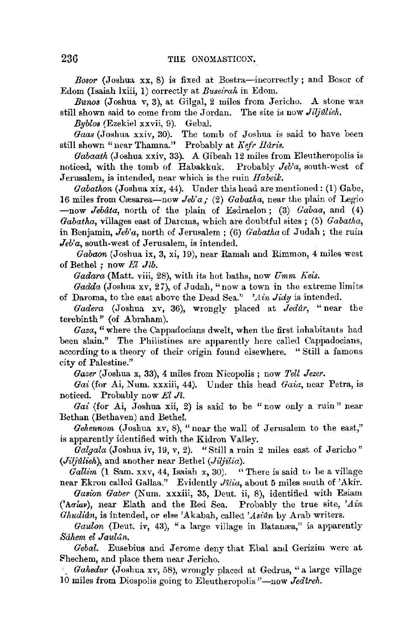*Bosor* (Joshua xx, 8) is fixed at Bostra-incorrectly; and Bosor of Edom (Isaiah lxiii, 1) correctly at *Buseirah* in Edom.

*Bunos* (Joshua v, 3), at Gilgal, 2 miles from Jericho. A stone was still shown said to come from the Jordan. The site is now *Jiljulieh*.

*Byblos* (Ezekiel xxvii, 9). Gebal.

*Gaas* (Joshua xxiv, 30). The tomb of Joshua is said to have been still shown "near Thamna." Probably at *Kefr Haris.* 

*Gabaath* (Joshua xxiv, 33). A Gibeah 12 miles from Eleutheropolis is noticed, with the tomb of Habakkuk. Probably *Jeb'a,* south-west of Jerusalem, is intended, near which is the ruin *1labeik.* 

*Gabathon* (Joshua xix, 44). Under this head are mentioned: (1) Gabe, **16** miles from Cresarea-now *Jeb'a;* (2) *Gabatha,* near the plain of Legio -now *Jebata*, north of the plain of Esdraelon; (3) *Gabaa*, and (4) *Gabatha,* villages east of Daroma, which are doubtful sites ; (5) *Gabatha,*  in Benjamin, *Jeb'a,* north of Jerusalem ; (6) *Gabatha* of Judah; the ruin *Jeb'a*, south-west of Jerusalem, is intended.

*Gabaon* (Joshua ix, 3, xi, 19), near Ramah and Rimmon, 4 miles west of Bethel; now *El Jib.* 

*Gadara* (Matt. viii, 28), with its hot baths, now *Umm J{eis.* 

*Gadda* (Joshua xv, 27), of Judah, "now a town in the extreme limits of Daroma, to the east above the Dead Sea." *'Ain Jidy* is intended.

*Gadera* (Joshua xv, 36), wrongly placed at *Jedilr,* "near the terebinth" (of Abraham).

*Gaza*, "where the Cappadocians dwelt, when the first inhabitants had been slain." The Philistines are apparently here called Cappadocians, according to a theory of their origin found elsewhere. " Still a famous city of Palestine."

*Gaeer* (Joshua x, **33),** 4 miles from Nicopolis ; now *Tell Jezer.* 

*Gai* (for Ai, Num. xxxiii, 44). Under this head *Gaia,* near Petra, is noticed. Probably now *El Ji*.

*Gai* (for Ai, Joshua xii, 2) is said to be "now only a ruin" near Bethan (Bethaven) and Bethel.

*Gehennom* (Joshua xv, 8), "near the wall of Jerusalem to the east," is apparently identified with the Kidron Valley.

Galgala (Joshua iv, 19, v, 2). "Still a ruin 2 miles east of Jericho" *(Ji(jfllieh),* and another near Bethel (Jiljilia).

Gallim (1 Sam. xxv, 44, Isaiah x, 30). "There is said to be a village near Ekron called Gallaa.'' Evidently *JUia,* about 5 miles south of 'Akir.

Gasion Gaber (Num. xxxiii, 35, Deut. ii, 8), identified with Esiam ('Agiav), near Elath and the Red Sea. Probably the true site, 'Ain Ghudiân, is intended, or else 'Akabah, called 'Asiûn by Arab writers.

Gaulon (Deut. iv, 43), "a large village in Batanæa," is apparently *Sahem el Jaulun.* 

*Gebal.* Eusebius and Jerome deny that Ebal and Gerizim were at flhechem, and place them near Jericho.

-\_ *Gahedur* (Joshua xv, 58), wrougly placed at Gedrus, "a large village 10 miles from Diospolis going to Eleutheropolis "-now *Jedtreh*.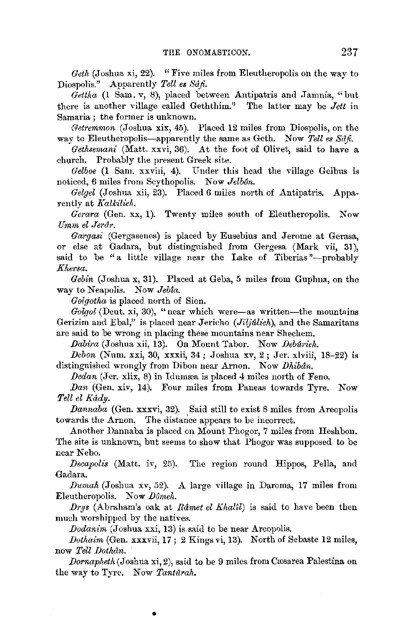*Geth* (Joshua xi, 22). "Five miles from Eleutheropolis on the way to Diospolis." Apparently *Tell es Sdfi.* 

 $\hat{G}$ ettha (1 Sam. v, 8), placed between Antipatris and Jamnia, "but there is another village called Geththim." The latter may be *Jett* in Samaria ; the former is unknown.

*(letremmon* (Joshua xix, 45). Placed 12 miles from Diospolis, on the way to Eleutheropolis-apparently the same as Geth. Now Tell es Sânt.

*Gethsemani* (Matt. xxvi, 36). At the foot of Olivet, said to have a church. Probably the present Greek site.

Gelboe (1 Sam. xxviii, 4). Under this head the village Gelbus is noticed, 6 miles from Scythopolis. Now *Jelbôn*.

*Gelgel* (Joshua xii, 23). Placed *6* miles north of Antipatris. Apparently at *Kalkilieh.* 

*Gerara* (Gen. xx, 1). Twenty miles south of Eleutheropolis. Now *Umm el ,Terdr.* 

*Gargasi* (Gergasenes) is placed by Eusebius and Jerome at Gerasa, or else at Gadara, but distinguished from Gergesa (Mark vii, **31),**  said to be "a little village near the Lake of Tiberias"--probably *Kl,ersa.* 

*Gebin* (Joshua x, 31). Placed at Geba, 5 miles from Guphna, on the way to Neapolis. Now *Jebta*.

*Goigotha* is placed. north of Sion.

*Golgol* (Deut. xi, 30), "near which were-as written-the mountains Gerizim and Ebal," is placed near Jericho (*Jiljúlieh*), and the Samaritans are said to be wrong in placing these mountains near Shechem.

*JJabira* (,Joshua xii, 13). On Mount Tabor. Now *DeM1·ieh.* 

*Debon* (Num. xxi, 30, xxxii, 34; Joshua xv, 2; Jer. xlviii, 18-22) is distinguished wrongly from Dibon near Amon. Now *Dhibdn.* 

*Dedan* (Jer. xlix, 8) in Idumæa is placed 4 miles north of Feno.

*Dan* (Gen. xiv, 14). Four miles from Paneas towards Tyre. Now *Tell el l{udy.* 

*Dannaba* (Gen. xxxvi, 32). Said still to exist 8 miles from Areopolis towards the Arnon. The distance appears to be incorrect.

Another Dannaba is placed on Mount Phogor, 7 miles from Heshbon. The site is unknown, but seems to show that Phogor was supposed to be near Nebo.

*Decapolis* (Matt. iv, 25). The region round Hippos, Pella, and Gadara.

*Durnah* (Joshua xv, 52). A large village in Daroma, 17 miles from Eleutheropolis. Now *Dômeh*.

*Drys* (Abraham's oak at *Râmet el Khal'il*) is said to have been then much worshipped by the natives.

*Dodanini* (Joshua xxi, 13) is said to be near Areopolis.

•

*Dothaim* (Gen. xxxvii, 17; 2 Kings vi, 13). North of Sebaste 12 miles, now *Tell Dothdn.* 

*Dornapheth* (Joshua xi, 2), said to be 9 miles from Cæsarea Palestina on the way to Tyre. Now *Tantarah*.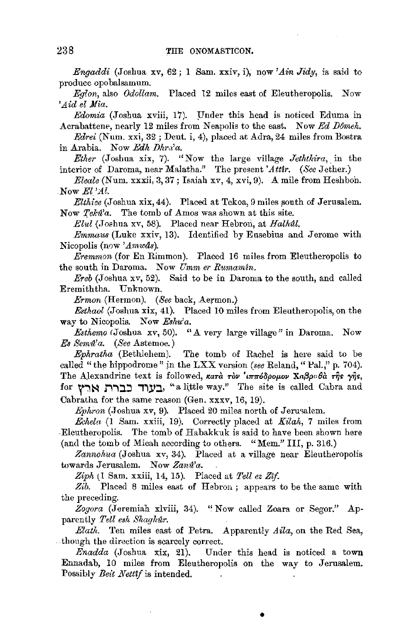*Engaddi* (Joshua xv, 62 ; 1 Sam. xxiv, i), now' *Ain Jidy,* is said to produce opobalsamum.

*Eglon,* also *Odollam.* Placed 12 miles east of Eleutheropolis. Now *'Aid el Mia.* 

*Edomia* (Joshua xviii, 17). Under this head is noticed Eduma in Acrabattene, nearly 12 miles from *Neapolis* to the east. Now *Ed Dômeh.* 

*Edrei* (Num. xxi, 32; Deut. i, 4), placed at Adra, 24 miles from Bostra in Arabia. Now *Edk IJhm'a.* 

*Ether* (Joshua xix, 7). "Now the large village *Jetktllira,* , in the interior of Daroma, near Malatha." The present 'Attir. (See Jether.)

*Eleale* (Num. xxxii, 3, 37; Isaiah xv, 4, xvi, 9). A mile from Heshbon. . Now *El'Al.* 

*Elthice* (Joshua xix, 44). Placed at Tekoa, 9 miles south of Jerusalem. Now *Teka'a*. The tomb of Amos was shown at this site.

*Elul* (Joshua xv, 58). Placed near Hebron, at *Halhal*.

*Ernmaus* (Luke xxiv, 13). Identified by Easebius and Jerome with Nicopolis (n0w *'Amwds).* 

*Eremmon* (for En Rimmon). Placed 16 miles from Eleutheropolis to the south in Daroma. Now *Umm er Rumamin.* 

*Ereb* (Joshua xv, 52). Said to be in Daroma to the south, and called Eremiththa. Unknown.

*Ermon* (Hermon). *(See* back, Aermon.)

*Esthaol* (Joshua xix, 41). Placed 10 miles from Eleutheropolis, on the way to Nicopolis. Now *Eshu'a*.

*Estkemo* <Joshua xv, 50). *"A* very large village" in Daroma. Now *Es Sema'a. (See* Astemoe.)

*Ephratka* (Bethlehem). The tomb of Rachel is here said to be called "the hippodrome" in the LXX version *(see Reland,* "Pal.," p. 704). The Alexandrine text is followed, κατά τον 'ιππόδρομον Χαβραθά της γής, for **אַרץ for העוד כברה ארץ.** "a little way." The site is called Cabra and Cabratha for the same reason (Gen. xxxv, 16, 19).

*Ephron* (Joshua xv, 9). Placed 20 miles north of Jerusalem.

*Echela* (1 Sam. xxiii, 19). Correctly placed at *Kilah,* 7 miles from Eleutheropolis. The tomb of Habakkuk is said to have been shown here (and the tomb of Micah according to others. "Mem." III, p. 316.)

*Zannokua* (Joshua xv, 34). Placed at a village near Eleutheropolis towards Jerusalem. Now *Zana'a.* 

*Zipk* (1 Sam. xxiii, 14, 15). Placed at *Tellez Zif.* 

*Zib.* Placed 8 miles east of Hebron ; appears to be the same with the preceding.

*Zogora* (Jeremiah xlviii, 34). "Now called Zoara or Segor." Apparently *Tell eak Skaghar.* 

*Elatlt.* Ten miles east of Petra. Apparently *Aila,* on the Red Sea, though the direction is scarcely correct.

*Enadda* (Joshua xix, 21). Under this head is noticed a town Ennadab, 10 miles from Eleutheropolis on the way to Jerusalem. Possibly *Beit Netttf* is intended.

•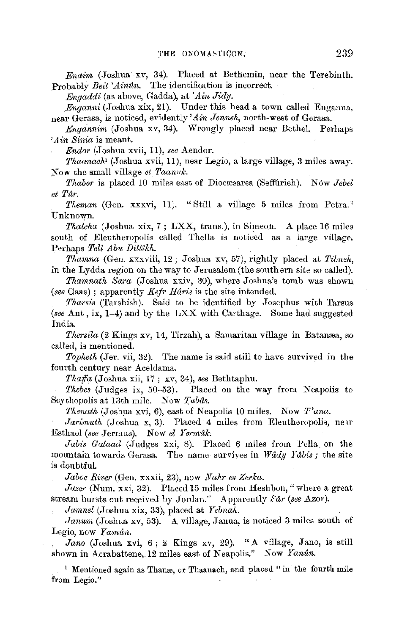*Endim* (Joshua xv, 34). Placed at Bethemin, near the Terebinth. Probably *Beit 'Aintln.* The identification is incorrect.

*Engaddi* (as above, Gadda), at *'Ain Jidy.* 

*,Enganni* (Joshua xix, 21). Under this head a town called Enganna, near Gerasa, is noticed, evidently' *Ain Jennek,* north-west of Gerasa.

*Engannim* (Joshua xv, 34). Wrongly placed near Bethel. Perhaps *'Ain Sinia* is meant.

*Endor* /Joshua xvii, 11), *see* Aendor.

*Tkaanack•* (Joshua xvii, 11), near Legio, a large village, 3 miles away. Now the small village *et Taanvk*.

*Thabor* is placed 10 miles east of Diocæsarea (Seffûrieh). Now *Jebel et Ttlr.* 

*Theman* (Gen. xxxvi, 11). "Still a village 5 miles from Petra.' Unknown.

*Thalcha* (Joshua xix, 7; LXX, trans.), in Simeon. A place 16 miles south of Eleutheropolis called Thella is noticed as a large village, Perhaps *Tell Abu Dilllkh.* 

*'['hamna* (Gen. xxxviii, 12; Joshua xv, 57), rightly placed at *Tilmeh,*  in the Lydda region on the way to Jerusalem (the southern site so called).

*Thamnath Sara* (Joshua xxiv, 30), where Joshua's tomb was shown *(see* Gaas) ; apparently *Kefr !Idris* is the site intended.

*1'harsis* (Tarshish). Said to be identified by Josephus with Tarsus *(see* Ant , ix, 1-4) and by the LXX with Carthage. Some had suggested India.

*Thersila* (2 Kings xv, 14, 'l'irzah), a Samaritan village in Batamea, so called, is mentioned.

*Topheth* (Jer, vii, 32). The name is said still to have survived in the fourth century near Aceldama.

*Tliaff(!,* (J oshna xii, 17 ; xv, 34), *see* Bethtaphu.

*Thebes* (Judges ix, 50-53). Placed on the way from Neapolis to Scythopolis at 13th mile. Now Tubás.

*Thenatk* (Joshua xvi, 6), east of Neapolis LO miles. Now *T'ana.* 

*Jarimuth* (Joshua x, 3). Placed 4 miles from Eleutheropolis, neur Esthaql *(see* Jermus). Now *el Yermdk.* 

*Jabis Galaad* (Judges xxi, 8). Placed 6 miles from Pella on the mountain towards Gerasa. The name survives in *Wddy Tdbis;* the site is doubtful.

*Jaboc Rfver* (Gen. xxxii, 23), now *Nahr es Zerka.* 

*Joser* (Num. xxi, 32). Placed 15 miles from Heshbon, "where a great stream bursts out received by Jordan." Apparently *Ear* (see Azor).

*Jamnel* (Joshua xix, 33), placed at *Yebnah*.

*· Ianum* (Joshua xv, 53). A village, Janua, is noticed 3 miles south of Legio, now *Yamûn.* 

*Jana* (Joshua xvi, 6; 2 Kings xv, 29). "A village, Jano, is still shown in Acrabattene, 12 miles east of Neapolis." Now *Yanûn*.

<sup>1</sup> Mentioned again as Thanæ, or Thaanach, and placed "in the fourth mile from Legio."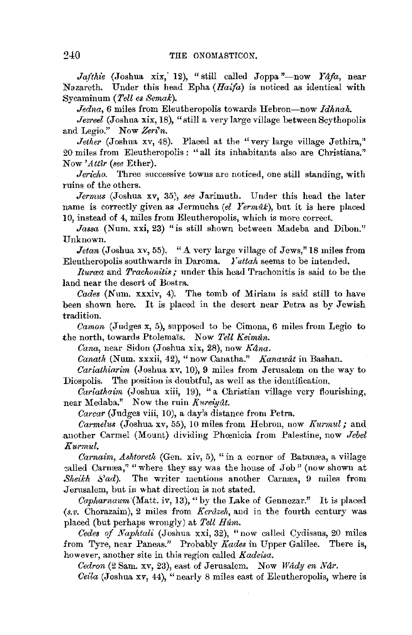Jafthie (Joshua xix, 12), "still called Joppa "-now *Yafa*, near Nazareth. Under this head Epha *(Haifa)* is noticed as identical with Sycaminum (Tell es Semak).

*Jedna,* 6 miles from Eleutheropolis towards Hebron-now *Idhnah.* 

*Jezreel* (Joshua xix, 18), "still a very large village between Scythopolis and Legio." Now *Zeri"n.* 

*Jether* (Joshua xv, 48). Placed at the "very large village Jethira," 20 miles from Eleutheropolis: "all its inhabitants also are Christians." Now *'Att!r (see* Ether).

Jericho. Three successive towns are noticed, one still standing, with ruins of the others.

*Jermus* (Joshua xv, 35;, *see* Jarimuth. Under this head the later name is correctly given as Jermucha *(el Yermûk)*, but it is here placed 10, instead of 4, miles from Eleutheropolis, which is more correct..

*Jassa* (Num. xxi, 23) "is still shown between Madeba and Dibon." Unknown.

*Jetan* (Joshua xv, 55). "A very large village of Jews," 18 miles from Eleutheropolis southwards in Daroma. *l'uttah* seems to be intended.

*Iturrea* and *Trachonitis;* under this head Trachonitis is said to be the land near the desert of Bostra.

Cades (Num. xxxiv, 4). The tomb of Miriam is said still to have been shown here. It is placed in the desert near Petra as by Jewish tradition.

*Camon* (Judges x, 5), snpposed to be Cimona, 6 miles from Legio to the north, towards Ptolema's. Now Tell Keimun.

Cana, near Sidon (Joshua xix, 28), now *Kana*.

*Canath* (Num. xxxii, 42), "now Canatha." *Kanawat* in Bashan.

*Cariathiarim* (Joshua xv, 10), 9 miles from Jerusalem on the way to Diospolis. The position is doubtful, as well as the identification.

*Cariathaim* (Joshua xiii, 19), "a Christian village very flourishing, near Medaba." Now the ruin *Kureiyat.* 

*Carear* (Judges viii, 10), a day's distance from Petra.

*Carmeli;s* (Joshua xv, 55), 10 miles from Hebron, now *Kurmul;* and .another Carmel (Mount) dividing Phcenicia from Palestine, now *Jebel Kurmul.* 

*Carnaim, Ashtoreth* (Gen. xiv, 5), "in a corner of Batanæa, a village called Carnæa," "where they say was the house of Job" (now shown at *Sheikh S'ad*). The writer mentions another Carnæa, 9 miles from Jerusalem, but in what direction is not stated.

*Capharnaum* '(Matt. iv, 13), "by the Lake of Gennezar." It is placed (s.v. Chorazaim), 2 miles from *Kerâzeh*, and in the fourth century was placed (but perhaps wrongly) at *Tell Hum.* 

*Cedes of Naphtali* (Joshua xxi, 32), "now called Cydissus, 20 miles from Tyre, near Paneas." Probably *Kades* in Upper Galilee. There is, however, another site in this region called *Kadeisa.* 

*Cedron* (2 Sam. xv, 23), east of Jerusalem. Now *Wady en Nar.* 

*Ceila* (Joshua *xv*, 44), "nearly 8 miles east of Eleutheropolis, where is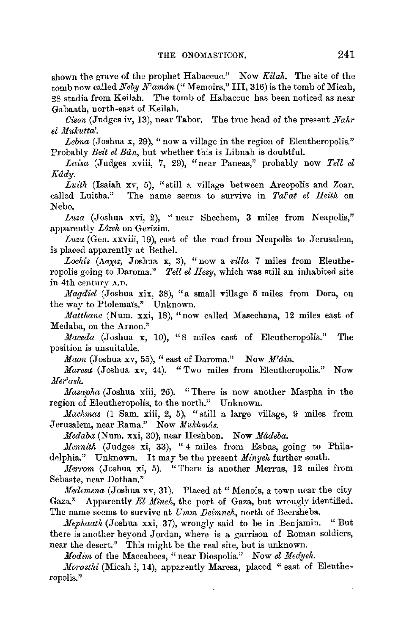shown the grave of the prophet Habaccuc." Now *Kilah,* The site of the tomb now called *Neby N'aman* (" Memoirs." III, 316) is the tomb of Micah, 2S stadia from Keilah. The tomb of Habaccuc has been noticed as near Gabaath, north-east of Keilah.

*Cison (Judges iv, 13), near Tabor.* The true head of the present *Nahr*  $el$  *Mukutta'.* 

*Lebna* (Joshua x, 29), "now a village in the region of Eleutheropolis." Probably *Beit el Bun,* but whether this is Libnah is doubtful.

Laisa (Judges xviii, 7, 29), "near Paneas," probably now Tell el *Kady.* 

Luith (Isaiah xv, 5), "still a village between Areopolis and Zoar, callad Luitha." The name seems to survive in *Tal'at el Reith* on Nebo.

*Luza* (Joshua xvi, 2), "near Shechem, 3 miles from Neapolis," apparently *L/Jzeh* on Gerizim.

Luza (Gen. xxviii, 19), east of the road from Neapolis to Jerusalem, is placed apparently at Bethel.

Lochis (Aaxis, Joshua x, 3), "now a *villa* 7 miles from Eleutheropolis going to Daroma." *Tell el Hesy,* which was still an inhabited site in 4th century A.D.

*.Magdiel* (Joshua xix, 38), "a small village 5 miles from Dora, on the way to Ptolemais." Unknown.

*Mattliane* (Num. xxi, 18), "now called Masechana, 12 miles east of Medaba, on the Arnon."

*Maceda* (Joshua x, 10), "8 miles east of Eleutheropolis." The position is unsuitable.

*Maon* (Joshua xv, 55), "east of Daroma." Now *M'ain.* 

*Maresa* (Joshua xv, 44). "Two miles from Eleutheropolis." Now *Ner'ash.* 

*Masapha* (Joshua xiii, 26). "There is now another Maspha in the region of Eleutheropolis, to the north." Unknown.

*Machmas* (1 Sam. xiii, 2, 5), "still a large village, 9 miles from Jerusalem, near Rama." Now *Mukhmas.* 

*Nedaba* (Num. xxi, 30), near Heshbon. Now *Madeba.* 

*Mennith* (Judges xi, 33), "4 miles from Esbus, going to Philadelphia." Unknown. It may be the present *Minyeh* further south.

*Nerrom* (Joshua xi, 5). "There is another Merrus, 12 miles from Sebaste, near Dothan."

*Medemena* (Joshua xv, 31). Placed at "Menois, a town near the city Gaza." Apparently *El Mineh*, the port of Gaza, but wrougly identified. The name seems to survive at *Umm Deimneh*, north of Beersheba.

*Mephaath* (Joshua xxi, 37), wrongly said to be in Benjamin. "But there is another beyond Jordan, where is a garrison of Roman soldiers, near the desert." This might be the real site, but is unknown.

*Modim* of the Maccabees, "near Diospolis." Now *el Medyeh.* 

*Morasthi* (Micah i, 14), apparently Marcsa, placed " east of Eleutheropolis."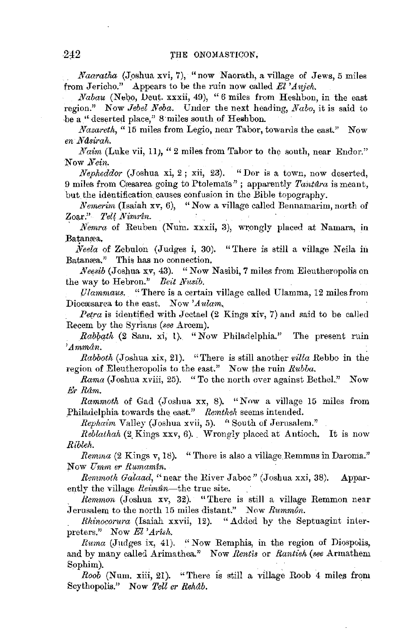*Naaratha* (Joshua xvi, 7), "now Naorath, a village of Jews, 5 miles from Jericho." Appears to be the ruin now called *El 'Aujeh.* 

*Nabau* (Nebo, Deut. xxxii, 49), "6 miles from Heshbon, in the east region." Now *Jebel Neba.* Under the next heading, *Nabo,* it is said to be a "deserted place," 8 miles south of Heshbon.

*Nazareth,* "15 miles from Legio, near Tabor, towards the east." Now *en Ndsirak.* 

*Naim* (Luke vii, 11), "2 miles from Tabor to the south, near Endor." Now *Nein.* 

*Nepk6ddor* (Joshua xi, 2 ; xii, 23). "Dor is a town, now deserted, 9 miles from Cæsarea going to Ptolemais" ; apparently *Tantara* is meant, but the identification causes confusion in the Bible topography.

*Nemerim* (Isaiah xv, 6), "Now a village called Bennamarim, north of Zoar." *Tel[ Nimrin.* ,

*Nemra* of Reuben (Num. xxxii, 3), wrongly placed at Namara, in Batamea.

*iveela* of Zebulon (Judges i, 30). "There is still a village Neila in Batanæa." This has no connection.

*Neesib* (Joshua xv, 43). "Now Nasibi, 7 miles from Eleutheropolis on the way to Hebron." *Beit Nusib*.

*(Jlammaus.* "There is a certain village called Ulamma, 12 miles from Diocasarea to the east. Now 'Aulam.

*Petra* is identified with Jectael  $(2$  Kings  $\overline{x}$ iv,  $7$ ) and said to be called Recem by the Syrians *(see Arcem)*.

*Rabbath* (2 Sam. xi, 1). "Now Philadelphia." The present ruin *'Ammdn.* 

*Rabboth* (Joshua xix, 21). "There is still another *villa* Rebbo in the region of Eleutheropolis to the east." Now the ruin *Rubba.* 

*Rama* (Joshua xviii, 25). "To the north over against Bethel." Now Er *Rdm.* 

*Rammoth* of Gad (Joshua xx, 8). "Now a village 15 miles from Philadelphia towards the east." Remtheh seems intended.

*Rephaim* Valley (Joshua xvii, 5). '' South of Jerusalem."

*Reblathah* (2, Kings xxv, 6) .. Wrongly placed at Antioch. It is now *Ribleh.* 

*Remma* (2 Kings v, 18). "There is also a village Remmus in Daroma." Now *Umm er Rurnamtn.* 

*R€mmoth Galaad,* "near the River Jaboc" (Joshua xxi, 38). Apparently the village *Reiman-the* true site.

*Remmon* (Joshua xv, 32). "There is still a village Remmon near Jerusalem to the north 15 miles distant." Now *Rummôn*.

*Rhinocorura* (Isaiah xxvii, 12). "Added by the Septuagint interpreters." Now El *'Arish.* 

*Ruma* (Judges ix, 41). "Now Remphis, in the region of Diospolis, and by many called Arimathea." Now *Rentis* or *Rantieh (see* Armathem Sophim).

Roob (Num. xiii, 21). "There is still a village Roob 4 miles from Scythopolis." Now *Tell er Rehab.*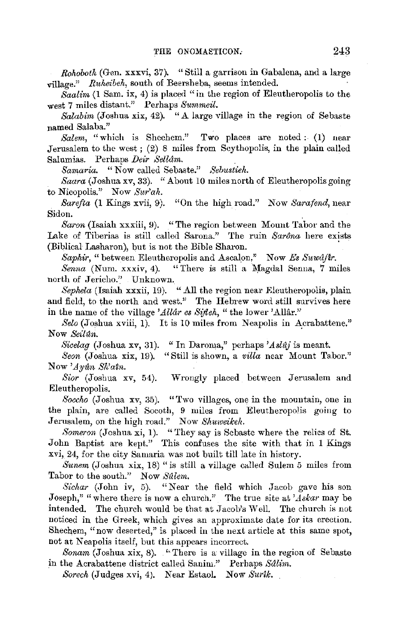*Rohoboth* (Gen. xxxvi, 37). "Still a garrison in Gabalena, and a large village." *Rnheibeh,* south of Beersheba, seems intended.

*Saalim* (1 Sam. ix, 4) is placed "in the region of Eleutheropolis to the west 7 miles distant." Perhaps *Snmmeil.* 

*Salabim* (Joshua xix, 42). "A large village in the region of Sebaste named Salaba."

*Salem,* "which is Shechem." Two places are noted : (1) near Jerusalem to the west; (2) 8 miles from Scythopolis, in the plain called Salumias. Perhaps *Deir Sellam.* 

*Samaria.* "Now called Sebaste." Sebustieh.

*Saara* (Joshua xv, 33). "About 10 miles north of Eleutheropolis going to Nicopolis." Now *Sur'ah.* 

*Sare/ta* (1 Kings xvii, 9). "On the high road.'' Now *Sarafend,* near Sidon.

*Baron* (Isaiah xxxiii, 9). "The region between Mount Tabor and the Lake of Tiberias is still called Sarona." The ruin *Sarona* here exists (Biblical Lasharon), but is not the Bible Sharon.

*Saphir,* "between Eleutheropolis and Ascal\_on.'' Now *Es Snwr1flr.* 

*Senna* (Num. xxxiv, 4). "There is still a Magda) Senna, 7 miles north of Jericho.'' Unknown.

*Sephela* (Isaiah xxxii, 19). "All the region near Eleutheropolis, plain and field, to the north and west." The Hebrew word still survives here in the name of the village *'Alldr es Sijleh,* "the lower 'Allar.''

*Selo* (Joshua xviii, 1). It is 10 miles from Neapolis in Acrabattene." Now *Seitan.* 

*Sicelag* (Joshua xv, 31). "In Daroma," perhaps *'AsMJ* is meant.

Seon (Joshua xix, 19). "Still is shown, a *villa* near Mount Tabor." Now *'Ayfln Sh'atn.* 

*Sior* (Joshua xv, 54). Wrongly placed between Jerusalem and Eleutheropolis.

*Soccho* (Joshua xv, 35). "Two villages, one in the mountain, one in the plain, are called Socoth, 9 miles from Eleutheropolis going to Jerusalem, on the high road." Now Shuweikeh.

Someron (Joshua xi, 1). "They say is Sebaste where the relics of St. John Baptist are kept." This confuses the site with that in 1 Kings xvi, 24, for the city Samaria was not built till late in history.

Sunem (Joshua xix, 18) "is still a village called Sulem 5 miles from Tabor to the south." Now Sillem.

*Sicltar* (John *iv,* 5). "Near the field which Jacob gave his son Joseph," "where there is now a church." The true site at *'Askar* may be intended. The church would be that at Jacob's Well. The church is not noticed in the Greek, which gives an approximate date for its erection. Shechem, "now deserted," is placed **in** the next article at this same spot, not at Neapolis itself, but this appears incorrect.

*Bonam* (Joshua xix, 8). "There is a village in the region of Sebaste in the Acrabattene district called Sanim." Perhaps *Sdlim.* 

*Sorech* (Judges xvi, 4). Near Estaol. Now Surik.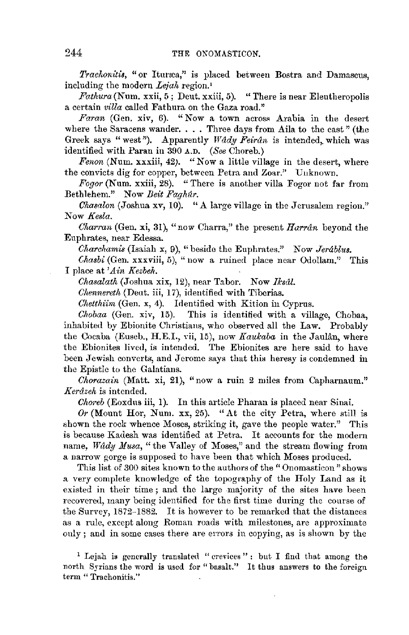Trachonitis, "or Ituræa," is placed between Bostra and Damascus, including the modern *Leiah* region.<sup>1</sup>

*Fathura(Num.* xxii, 5; Dent. xxiii, 5). "There is near Elentheropolis a certain *villa* called Fathura on the Gaza road."

*Faran* (Gen. xiv, 6). "Now a town across Arabia in the desert where the Saracens wander. . . . Three days from Aila to the east" (the Greek says "west"). Apparently *Wady Feiran* is intended, which was identified with Paran in 390 A.D. *(See* Choreb.)

*Fenon* (Num. xxxiii, 42). "Now a little village in the desert, where the convicts dig for copper, between Petra and Zoar.'' Uuknown.

*Fogor* (Num. xxiii, 28). " There is another villa Fogor not far from Bethlehem." Now *Beit Faghur.* 

*Chasalon* (Joshua xv, 10). "A large village in the Jerusalem region." Now *Kesla.* 

*Cliarran* (Gen. xi, 31), "now Oharra," the present *Harrdn* beyond the Euphrates, near Edessa.

*Cliarchamis* (Isaiah x, 9), "beside the Euphrates." Now *Jerablus.* 

*Chasbi* (Gen. xxxviii, 5), " now a ruined place near Odollam." This I place at *'Ain Kezbeh.* 

*Chasalath* (Joshua xix, 12), near Tabor. Now *Iksål*.

*Chenneretli* (Dent. iii, 17), identified with Tibcrias.

*Chetthiim* (Gen. x, 4). Identified with Kition in Cyprus.

*Chobaa* (Gen. xiv, 15). This is identified with a village, Chobaa, inhabited by Ebionite Christians, who observed all the Law. Probably the Cocaba (Euseb., H.E.I., Yii, 15), now *Kaukaba* in the Jaulin, where the Ebionites lived, is intended. The Ebionites are here said to have been Jewish converts, and Jerome says that this heresy is condemned in the Epistle to the Galatians.

*Chorazain* (Matt. xi, 21), "now a ruin 2 miles from Capharnaum." *Kerdzeh* is intended.

*Choreb* (Eoxdus iii, 1). In this article Pharan is placed near Sinai.

*Or* (Mount Hor, Num. xx, 25). "At the city Petra, where still is shown the rock whence Moses, striking it, gave the people water.'' This is because Kadesh was identified at Petra. It accounts for the modern name, Wady Musa, "the Valley of Moses," and the stream flowing from a narrow gorge is supposed to have been that which Moses produced.

This list of 300 sites known to the authors of the "Onomasticon" shows a very complete knowledge of the topography of the Holy Land as it existed in their time ; and the large majority of the sites have been recovered, many being identified for the first time during the course of the Survey, 1872-1882. It is however to be remarked that the distances as a rule, except along Roman roads with milestones, are approximate only; and in some cases there are errors in copying, as is shown by the

<sup>1</sup> Lejah is generally translated " crevices" : but I find that among the north Syrians the word is used for "basalt." It thus answers to the foreign term "Trachonitis."